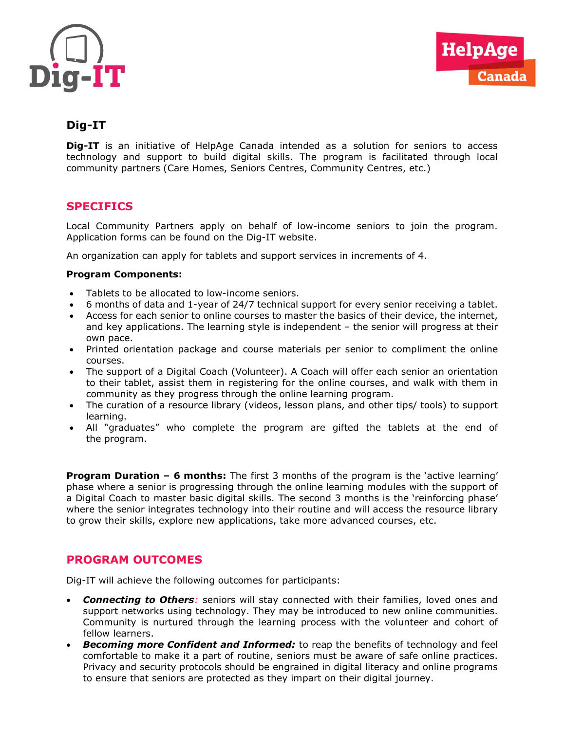



# Dig-IT

**Dig-IT** is an initiative of HelpAge Canada intended as a solution for seniors to access technology and support to build digital skills. The program is facilitated through local community partners (Care Homes, Seniors Centres, Community Centres, etc.)

# **SPECIFICS**

Local Community Partners apply on behalf of low-income seniors to join the program. Application forms can be found on the Dig-IT website.

An organization can apply for tablets and support services in increments of 4.

#### Program Components:

- Tablets to be allocated to low-income seniors.
- 6 months of data and 1-year of 24/7 technical support for every senior receiving a tablet.
- Access for each senior to online courses to master the basics of their device, the internet, and key applications. The learning style is independent – the senior will progress at their own pace.
- Printed orientation package and course materials per senior to compliment the online courses.
- The support of a Digital Coach (Volunteer). A Coach will offer each senior an orientation to their tablet, assist them in registering for the online courses, and walk with them in community as they progress through the online learning program.
- The curation of a resource library (videos, lesson plans, and other tips/ tools) to support learning.
- All "graduates" who complete the program are gifted the tablets at the end of the program.

**Program Duration – 6 months:** The first 3 months of the program is the 'active learning' phase where a senior is progressing through the online learning modules with the support of a Digital Coach to master basic digital skills. The second 3 months is the 'reinforcing phase' where the senior integrates technology into their routine and will access the resource library to grow their skills, explore new applications, take more advanced courses, etc.

### PROGRAM OUTCOMES

Dig-IT will achieve the following outcomes for participants:

- Connecting to Others: seniors will stay connected with their families, loved ones and support networks using technology. They may be introduced to new online communities. Community is nurtured through the learning process with the volunteer and cohort of fellow learners.
- **Becoming more Confident and Informed:** to reap the benefits of technology and feel comfortable to make it a part of routine, seniors must be aware of safe online practices. Privacy and security protocols should be engrained in digital literacy and online programs to ensure that seniors are protected as they impart on their digital journey.